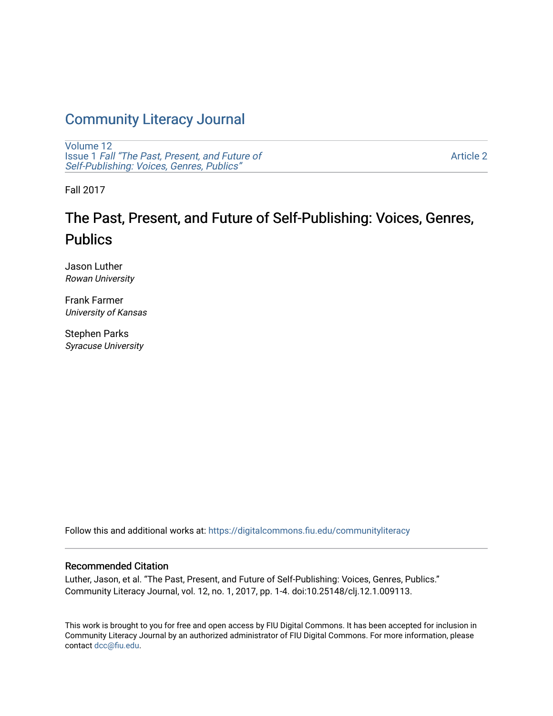## [Community Literacy Journal](https://digitalcommons.fiu.edu/communityliteracy)

[Volume 12](https://digitalcommons.fiu.edu/communityliteracy/vol12) Issue 1 [Fall "The Past, Present, and Future of](https://digitalcommons.fiu.edu/communityliteracy/vol12/iss1) [Self-Publishing: Voices, Genres, Publics"](https://digitalcommons.fiu.edu/communityliteracy/vol12/iss1) 

[Article 2](https://digitalcommons.fiu.edu/communityliteracy/vol12/iss1/2) 

Fall 2017

# The Past, Present, and Future of Self-Publishing: Voices, Genres, Publics

Jason Luther Rowan University

Frank Farmer University of Kansas

Stephen Parks Syracuse University

Follow this and additional works at: [https://digitalcommons.fiu.edu/communityliteracy](https://digitalcommons.fiu.edu/communityliteracy?utm_source=digitalcommons.fiu.edu%2Fcommunityliteracy%2Fvol12%2Fiss1%2F2&utm_medium=PDF&utm_campaign=PDFCoverPages)

## Recommended Citation

Luther, Jason, et al. "The Past, Present, and Future of Self-Publishing: Voices, Genres, Publics." Community Literacy Journal, vol. 12, no. 1, 2017, pp. 1-4. doi:10.25148/clj.12.1.009113.

This work is brought to you for free and open access by FIU Digital Commons. It has been accepted for inclusion in Community Literacy Journal by an authorized administrator of FIU Digital Commons. For more information, please contact [dcc@fiu.edu](mailto:dcc@fiu.edu).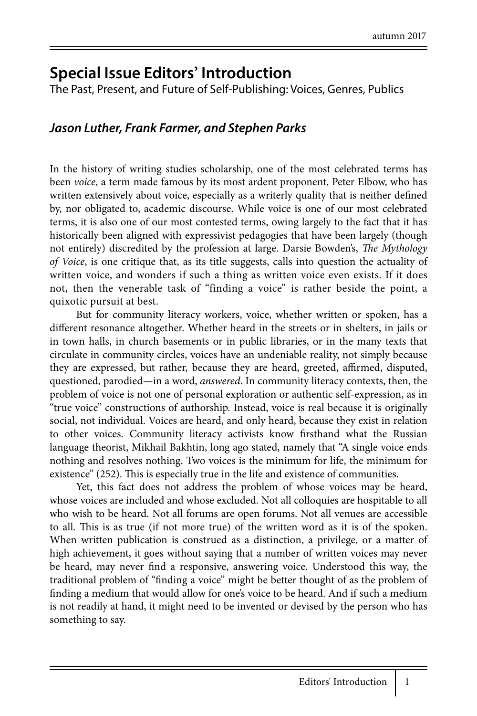## **Special Issue Editors' Introduction**

The Past, Present, and Future of Self-Publishing: Voices, Genres, Publics

## *Jason Luther, Frank Farmer, and Stephen Parks*

In the history of writing studies scholarship, one of the most celebrated terms has been *voice*, a term made famous by its most ardent proponent, Peter Elbow, who has written extensively about voice, especially as a writerly quality that is neither defined by, nor obligated to, academic discourse. While voice is one of our most celebrated terms, it is also one of our most contested terms, owing largely to the fact that it has historically been aligned with expressivist pedagogies that have been largely (though not entirely) discredited by the profession at large. Darsie Bowden's, *The Mythology of Voice*, is one critique that, as its title suggests, calls into question the actuality of written voice, and wonders if such a thing as written voice even exists. If it does not, then the venerable task of "finding a voice" is rather beside the point, a quixotic pursuit at best.

But for community literacy workers, voice, whether written or spoken, has a different resonance altogether. Whether heard in the streets or in shelters, in jails or in town halls, in church basements or in public libraries, or in the many texts that circulate in community circles, voices have an undeniable reality, not simply because they are expressed, but rather, because they are heard, greeted, affirmed, disputed, questioned, parodied—in a word, *answered*. In community literacy contexts, then, the problem of voice is not one of personal exploration or authentic self-expression, as in "true voice" constructions of authorship. Instead, voice is real because it is originally social, not individual. Voices are heard, and only heard, because they exist in relation to other voices. Community literacy activists know firsthand what the Russian language theorist, Mikhail Bakhtin, long ago stated, namely that "A single voice ends nothing and resolves nothing. Two voices is the minimum for life, the minimum for existence" (252). This is especially true in the life and existence of communities.

Yet, this fact does not address the problem of whose voices may be heard, whose voices are included and whose excluded. Not all colloquies are hospitable to all who wish to be heard. Not all forums are open forums. Not all venues are accessible to all. This is as true (if not more true) of the written word as it is of the spoken. When written publication is construed as a distinction, a privilege, or a matter of high achievement, it goes without saying that a number of written voices may never be heard, may never find a responsive, answering voice. Understood this way, the traditional problem of "finding a voice" might be better thought of as the problem of finding a medium that would allow for one's voice to be heard. And if such a medium is not readily at hand, it might need to be invented or devised by the person who has something to say.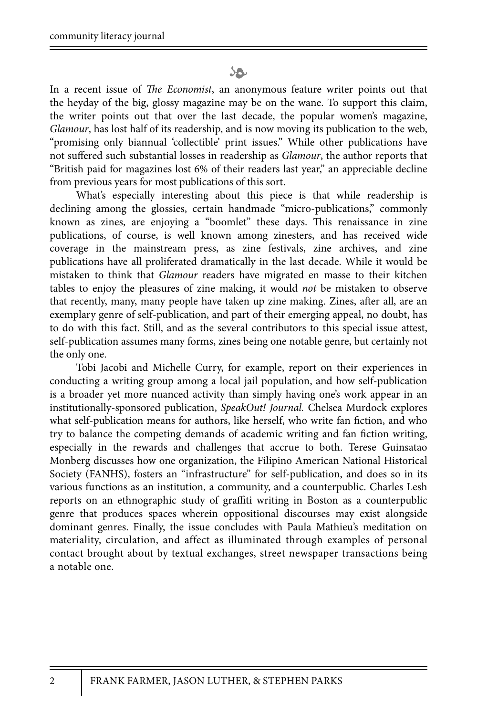### SO.

In a recent issue of *The Economist*, an anonymous feature writer points out that the heyday of the big, glossy magazine may be on the wane. To support this claim, the writer points out that over the last decade, the popular women's magazine, *Glamour*, has lost half of its readership, and is now moving its publication to the web, "promising only biannual 'collectible' print issues." While other publications have not suffered such substantial losses in readership as *Glamour*, the author reports that "British paid for magazines lost 6% of their readers last year," an appreciable decline from previous years for most publications of this sort.

What's especially interesting about this piece is that while readership is declining among the glossies, certain handmade "micro-publications," commonly known as zines, are enjoying a "boomlet" these days. This renaissance in zine publications, of course, is well known among zinesters, and has received wide coverage in the mainstream press, as zine festivals, zine archives, and zine publications have all proliferated dramatically in the last decade. While it would be mistaken to think that *Glamour* readers have migrated en masse to their kitchen tables to enjoy the pleasures of zine making, it would *not* be mistaken to observe that recently, many, many people have taken up zine making. Zines, after all, are an exemplary genre of self-publication, and part of their emerging appeal, no doubt, has to do with this fact. Still, and as the several contributors to this special issue attest, self-publication assumes many forms, zines being one notable genre, but certainly not the only one.

Tobi Jacobi and Michelle Curry, for example, report on their experiences in conducting a writing group among a local jail population, and how self-publication is a broader yet more nuanced activity than simply having one's work appear in an institutionally-sponsored publication, *SpeakOut! Journal.* Chelsea Murdock explores what self-publication means for authors, like herself, who write fan fiction, and who try to balance the competing demands of academic writing and fan fiction writing, especially in the rewards and challenges that accrue to both. Terese Guinsatao Monberg discusses how one organization, the Filipino American National Historical Society (FANHS), fosters an "infrastructure" for self-publication, and does so in its various functions as an institution, a community, and a counterpublic. Charles Lesh reports on an ethnographic study of graffiti writing in Boston as a counterpublic genre that produces spaces wherein oppositional discourses may exist alongside dominant genres. Finally, the issue concludes with Paula Mathieu's meditation on materiality, circulation, and affect as illuminated through examples of personal contact brought about by textual exchanges, street newspaper transactions being a notable one.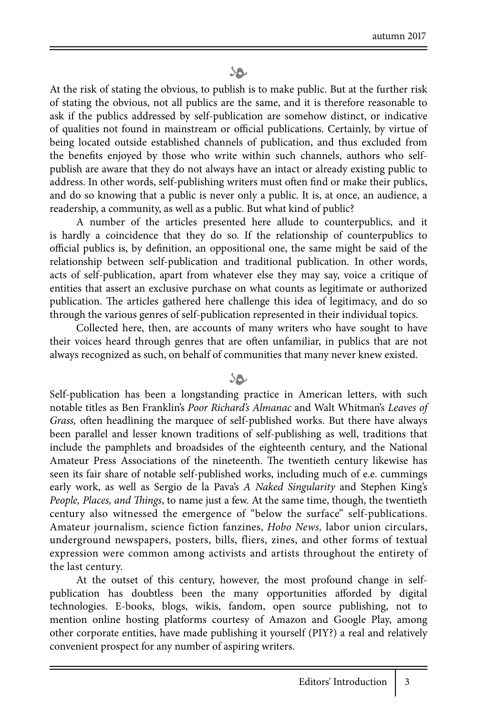### SO.

At the risk of stating the obvious, to publish is to make public. But at the further risk of stating the obvious, not all publics are the same, and it is therefore reasonable to ask if the publics addressed by self-publication are somehow distinct, or indicative of qualities not found in mainstream or official publications. Certainly, by virtue of being located outside established channels of publication, and thus excluded from the benefits enjoyed by those who write within such channels, authors who selfpublish are aware that they do not always have an intact or already existing public to address. In other words, self-publishing writers must often find or make their publics, and do so knowing that a public is never only a public. It is, at once, an audience, a readership, a community, as well as a public. But what kind of public?

A number of the articles presented here allude to counterpublics, and it is hardly a coincidence that they do so. If the relationship of counterpublics to official publics is, by definition, an oppositional one, the same might be said of the relationship between self-publication and traditional publication. In other words, acts of self-publication, apart from whatever else they may say, voice a critique of entities that assert an exclusive purchase on what counts as legitimate or authorized publication. The articles gathered here challenge this idea of legitimacy, and do so through the various genres of self-publication represented in their individual topics.

Collected here, then, are accounts of many writers who have sought to have their voices heard through genres that are often unfamiliar, in publics that are not always recognized as such, on behalf of communities that many never knew existed.

#### $\mathcal{P}$

Self-publication has been a longstanding practice in American letters, with such notable titles as Ben Franklin's *Poor Richard's Almanac* and Walt Whitman's *Leaves of Grass,* often headlining the marquee of self-published works. But there have always been parallel and lesser known traditions of self-publishing as well, traditions that include the pamphlets and broadsides of the eighteenth century, and the National Amateur Press Associations of the nineteenth. The twentieth century likewise has seen its fair share of notable self-published works, including much of e.e. cummings early work, as well as Sergio de la Pava's *A Naked Singularity* and Stephen King's *People, Places, and Things*, to name just a few. At the same time, though, the twentieth century also witnessed the emergence of "below the surface" self-publications. Amateur journalism, science fiction fanzines, *Hobo News,* labor union circulars, underground newspapers, posters, bills, fliers, zines, and other forms of textual expression were common among activists and artists throughout the entirety of the last century.

At the outset of this century, however, the most profound change in selfpublication has doubtless been the many opportunities afforded by digital technologies. E-books, blogs, wikis, fandom, open source publishing, not to mention online hosting platforms courtesy of Amazon and Google Play, among other corporate entities, have made publishing it yourself (PIY?) a real and relatively convenient prospect for any number of aspiring writers.